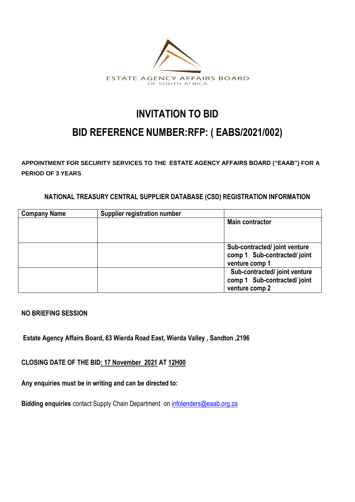

# **INVITATION TO BID**

# **BID REFERENCE NUMBER:RFP: ( EABS/2021/002)**

**APPOINTMENT FOR SECURITY SERVICES TO THE ESTATE AGENCY AFFAIRS BOARD ("EAAB") FOR A PERIOD OF 3 YEARS**

**NATIONAL TREASURY CENTRAL SUPPLIER DATABASE (CSD) REGISTRATION INFORMATION**

| <b>Company Name</b> | <b>Supplier registration number</b> |                                                                                |
|---------------------|-------------------------------------|--------------------------------------------------------------------------------|
|                     |                                     | <b>Main contractor</b>                                                         |
|                     |                                     | Sub-contracted/ joint venture<br>comp 1 Sub-contracted/joint<br>venture comp 1 |
|                     |                                     | Sub-contracted/joint venture<br>comp 1 Sub-contracted/joint<br>venture comp 2  |

**NO BRIEFING SESSION**

**Estate Agency Affairs Board, 63 Wierda Road East, Wierda Valley , Sandton ,2196**

**CLOSING DATE OF THE BID: 17 November 2021 AT 12H00**

**Any enquiries must be in writing and can be directed to:**

**Bidding enquiries** contact Supply Chain Department on [infotenders@eaab.org.za](mailto:infotenders@eaab.org.za)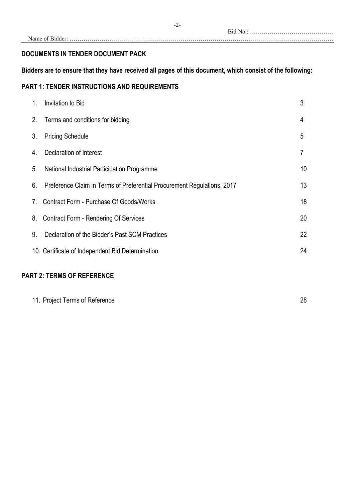### **DOCUMENTS IN TENDER DOCUMENT PACK**

**Bidders are to ensure that they have received all pages of this document, which consist of the following:**

### **PART 1: TENDER INSTRUCTIONS AND REQUIREMENTS**

| 1.             | Invitation to Bid                                                       | 3  |
|----------------|-------------------------------------------------------------------------|----|
| 2.             | Terms and conditions for bidding                                        | 4  |
| 3 <sub>1</sub> | <b>Pricing Schedule</b>                                                 | 5  |
| 4.             | Declaration of Interest                                                 |    |
| 5.             | National Industrial Participation Programme                             | 10 |
| 6.             | Preference Claim in Terms of Preferential Procurement Regulations, 2017 | 13 |
|                | 7. Contract Form - Purchase Of Goods/Works                              | 18 |
|                | 8. Contract Form - Rendering Of Services                                | 20 |
| 9.             | Declaration of the Bidder's Past SCM Practices                          | 22 |
|                | 10. Certificate of Independent Bid Determination                        | 24 |
|                |                                                                         |    |

## **PART 2: TERMS OF REFERENCE**

| 11. Project Terms of Reference |  |
|--------------------------------|--|
|--------------------------------|--|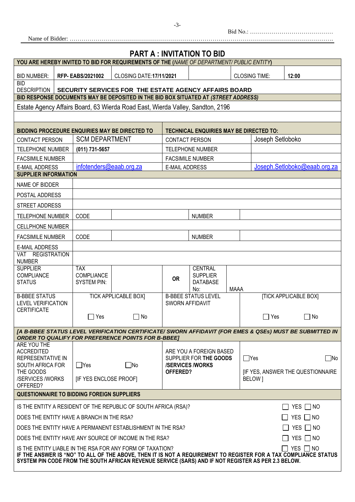-3-

|              | N<br>ĸ1 |
|--------------|---------|
| Name<br>вине |         |

| <b>PART A : INVITATION TO BID</b>                                                        |                                                                                                     |                                         |                                                                                     |                        |                                                   |                  |                                         |                                                                                                                                  |  |
|------------------------------------------------------------------------------------------|-----------------------------------------------------------------------------------------------------|-----------------------------------------|-------------------------------------------------------------------------------------|------------------------|---------------------------------------------------|------------------|-----------------------------------------|----------------------------------------------------------------------------------------------------------------------------------|--|
| YOU ARE HEREBY INVITED TO BID FOR REQUIREMENTS OF THE (NAME OF DEPARTMENT/PUBLIC ENTITY) |                                                                                                     |                                         |                                                                                     |                        |                                                   |                  |                                         |                                                                                                                                  |  |
| <b>BID NUMBER:</b>                                                                       |                                                                                                     | RFP-EABS/2021002                        | CLOSING DATE: 17/11/2021                                                            |                        |                                                   |                  | <b>CLOSING TIME:</b>                    | 12:00                                                                                                                            |  |
| <b>BID</b><br>DESCRIPTION                                                                |                                                                                                     |                                         | SECURITY SERVICES FOR THE ESTATE AGENCY AFFAIRS BOARD                               |                        |                                                   |                  |                                         |                                                                                                                                  |  |
|                                                                                          |                                                                                                     |                                         | BID RESPONSE DOCUMENTS MAY BE DEPOSITED IN THE BID BOX SITUATED AT (STREET ADDRESS) |                        |                                                   |                  |                                         |                                                                                                                                  |  |
|                                                                                          |                                                                                                     |                                         | Estate Agency Affairs Board, 63 Wierda Road East, Wierda Valley, Sandton, 2196      |                        |                                                   |                  |                                         |                                                                                                                                  |  |
|                                                                                          |                                                                                                     |                                         |                                                                                     |                        |                                                   |                  |                                         |                                                                                                                                  |  |
|                                                                                          |                                                                                                     |                                         | BIDDING PROCEDURE ENQUIRIES MAY BE DIRECTED TO                                      |                        | <b>TECHNICAL ENQUIRIES MAY BE DIRECTED TO:</b>    |                  |                                         |                                                                                                                                  |  |
| <b>SCM DEPARTMENT</b><br><b>CONTACT PERSON</b>                                           |                                                                                                     |                                         | <b>CONTACT PERSON</b>                                                               |                        |                                                   | Joseph Setloboko |                                         |                                                                                                                                  |  |
| TELEPHONE NUMBER                                                                         |                                                                                                     | (011) 731-5657                          |                                                                                     |                        | <b>TELEPHONE NUMBER</b>                           |                  |                                         |                                                                                                                                  |  |
| <b>FACSIMILE NUMBER</b>                                                                  |                                                                                                     |                                         |                                                                                     |                        | <b>FACSIMILE NUMBER</b>                           |                  |                                         |                                                                                                                                  |  |
| <b>E-MAIL ADDRESS</b><br><b>SUPPLIER INFORMATION</b>                                     |                                                                                                     | infotenders@eaab.org.za                 |                                                                                     | <b>E-MAIL ADDRESS</b>  |                                                   |                  |                                         | Joseph.Setloboko@eaab.org.za                                                                                                     |  |
|                                                                                          |                                                                                                     |                                         |                                                                                     |                        |                                                   |                  |                                         |                                                                                                                                  |  |
| NAME OF BIDDER                                                                           |                                                                                                     |                                         |                                                                                     |                        |                                                   |                  |                                         |                                                                                                                                  |  |
| POSTAL ADDRESS<br>STREET ADDRESS                                                         |                                                                                                     |                                         |                                                                                     |                        |                                                   |                  |                                         |                                                                                                                                  |  |
| TELEPHONE NUMBER                                                                         |                                                                                                     | <b>CODE</b>                             |                                                                                     |                        | <b>NUMBER</b>                                     |                  |                                         |                                                                                                                                  |  |
| <b>CELLPHONE NUMBER</b>                                                                  |                                                                                                     |                                         |                                                                                     |                        |                                                   |                  |                                         |                                                                                                                                  |  |
| <b>FACSIMILE NUMBER</b>                                                                  |                                                                                                     | CODE                                    |                                                                                     |                        | <b>NUMBER</b>                                     |                  |                                         |                                                                                                                                  |  |
| <b>E-MAIL ADDRESS</b>                                                                    |                                                                                                     |                                         |                                                                                     |                        |                                                   |                  |                                         |                                                                                                                                  |  |
| VAT REGISTRATION<br><b>NUMBER</b>                                                        |                                                                                                     |                                         |                                                                                     |                        |                                                   |                  |                                         |                                                                                                                                  |  |
| <b>SUPPLIER</b>                                                                          |                                                                                                     | <b>TAX</b>                              |                                                                                     |                        | <b>CENTRAL</b>                                    |                  |                                         |                                                                                                                                  |  |
| COMPLIANCE<br><b>STATUS</b>                                                              |                                                                                                     | <b>COMPLIANCE</b><br><b>SYSTEM PIN:</b> |                                                                                     | <b>OR</b>              | <b>SUPPLIER</b><br>DATABASE                       |                  |                                         |                                                                                                                                  |  |
| <b>B-BBEE STATUS</b>                                                                     |                                                                                                     |                                         | <b>TICK APPLICABLE BOXI</b>                                                         |                        | No:<br><b>B-BBEE STATUS LEVEL</b>                 | <b>MAAA</b>      |                                         | <b>[TICK APPLICABLE BOX]</b>                                                                                                     |  |
| <b>LEVEL VERIFICATION</b>                                                                |                                                                                                     |                                         |                                                                                     | <b>SWORN AFFIDAVIT</b> |                                                   |                  |                                         |                                                                                                                                  |  |
| <b>CERTIFICATE</b>                                                                       |                                                                                                     | Yes                                     | No                                                                                  |                        |                                                   |                  | Yes                                     | $\Box$ No                                                                                                                        |  |
|                                                                                          |                                                                                                     |                                         |                                                                                     |                        |                                                   |                  |                                         |                                                                                                                                  |  |
|                                                                                          |                                                                                                     |                                         | <b>ORDER TO QUALIFY FOR PREFERENCE POINTS FOR B-BBEE]</b>                           |                        |                                                   |                  |                                         | [A B-BBEE STATUS LEVEL VERIFICATION CERTIFICATE/ SWORN AFFIDAVIT (FOR EMES & QSEs) MUST BE SUBMITTED IN                          |  |
| ARE YOU THE                                                                              |                                                                                                     |                                         |                                                                                     |                        |                                                   |                  |                                         |                                                                                                                                  |  |
| <b>ACCREDITED</b><br>REPRESENTATIVE IN                                                   |                                                                                                     |                                         |                                                                                     |                        | ARE YOU A FOREIGN BASED<br>SUPPLIER FOR THE GOODS |                  | $\Box$ Yes                              | $\Box$ No                                                                                                                        |  |
| SOUTH AFRICA FOR                                                                         |                                                                                                     | $\Box$ Yes                              | ∏No                                                                                 |                        | <b>/SERVICES/WORKS</b>                            |                  |                                         |                                                                                                                                  |  |
| THE GOODS                                                                                |                                                                                                     |                                         |                                                                                     |                        | OFFERED?                                          |                  | <b>IF YES, ANSWER THE QUESTIONNAIRE</b> |                                                                                                                                  |  |
| /SERVICES /WORKS<br>[IF YES ENCLOSE PROOF]<br>BELOW ]<br>OFFERED?                        |                                                                                                     |                                         |                                                                                     |                        |                                                   |                  |                                         |                                                                                                                                  |  |
| <b>QUESTIONNAIRE TO BIDDING FOREIGN SUPPLIERS</b>                                        |                                                                                                     |                                         |                                                                                     |                        |                                                   |                  |                                         |                                                                                                                                  |  |
| YES $\Box$ NO<br>IS THE ENTITY A RESIDENT OF THE REPUBLIC OF SOUTH AFRICA (RSA)?         |                                                                                                     |                                         |                                                                                     |                        |                                                   |                  |                                         |                                                                                                                                  |  |
| DOES THE ENTITY HAVE A BRANCH IN THE RSA?                                                |                                                                                                     |                                         |                                                                                     |                        |                                                   | YES $\Box$ NO    |                                         |                                                                                                                                  |  |
| YES $\Box$ NO<br>DOES THE ENTITY HAVE A PERMANENT ESTABLISHMENT IN THE RSA?              |                                                                                                     |                                         |                                                                                     |                        |                                                   |                  |                                         |                                                                                                                                  |  |
|                                                                                          |                                                                                                     |                                         | DOES THE ENTITY HAVE ANY SOURCE OF INCOME IN THE RSA?                               |                        |                                                   |                  |                                         | YES $\Box$ NO                                                                                                                    |  |
|                                                                                          |                                                                                                     |                                         | IS THE ENTITY LIABLE IN THE RSA FOR ANY FORM OF TAXATION?                           |                        |                                                   |                  |                                         | YES $\Box$ No<br>IF THE ANSWER IS "NO" TO ALL OF THE ABOVE, THEN IT IS NOT A REQUIREMENT TO REGISTER FOR A TAX COMPLIANCE STATUS |  |
|                                                                                          | SYSTEM PIN CODE FROM THE SOUTH AFRICAN REVENUE SERVICE (SARS) AND IF NOT REGISTER AS PER 2.3 BELOW. |                                         |                                                                                     |                        |                                                   |                  |                                         |                                                                                                                                  |  |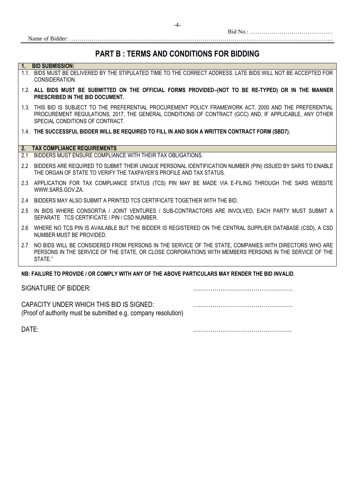## **PART B : TERMS AND CONDITIONS FOR BIDDING**

|     | 1. BID SUBMISSION:                                                                                                                                                                                                                                   |  |  |  |
|-----|------------------------------------------------------------------------------------------------------------------------------------------------------------------------------------------------------------------------------------------------------|--|--|--|
|     | 1.1. BIDS MUST BE DELIVERED BY THE STIPULATED TIME TO THE CORRECT ADDRESS. LATE BIDS WILL NOT BE ACCEPTED FOR<br>CONSIDERATION.                                                                                                                      |  |  |  |
|     | 1.2. ALL BIDS MUST BE SUBMITTED ON THE OFFICIAL FORMS PROVIDED-(NOT TO BE RE-TYPED) OR IN THE MANNER<br>PRESCRIBED IN THE BID DOCUMENT.                                                                                                              |  |  |  |
|     | 1.3. THIS BID IS SUBJECT TO THE PREFERENTIAL PROCUREMENT POLICY FRAMEWORK ACT, 2000 AND THE PREFERENTIAL<br>PROCUREMENT REGULATIONS, 2017, THE GENERAL CONDITIONS OF CONTRACT (GCC) AND, IF APPLICABLE, ANY OTHER<br>SPECIAL CONDITIONS OF CONTRACT. |  |  |  |
|     | 1.4. THE SUCCESSFUL BIDDER WILL BE REQUIRED TO FILL IN AND SIGN A WRITTEN CONTRACT FORM (SBD7).                                                                                                                                                      |  |  |  |
|     | 2. TAX COMPLIANCE REQUIREMENTS                                                                                                                                                                                                                       |  |  |  |
| 21  | BIDDERS MUST ENSURE COMPLIANCE WITH THEIR TAX OBLIGATIONS.                                                                                                                                                                                           |  |  |  |
|     | 2.2 BIDDERS ARE REQUIRED TO SUBMIT THEIR UNIQUE PERSONAL IDENTIFICATION NUMBER (PIN) ISSUED BY SARS TO ENABLE<br>THE ORGAN OF STATE TO VERIFY THE TAXPAYER'S PROFILE AND TAX STATUS.                                                                 |  |  |  |
|     | 2.3 APPLICATION FOR TAX COMPLIANCE STATUS (TCS) PIN MAY BE MADE VIA E-FILING THROUGH THE SARS WEBSITE<br>WWW.SARS.GOV.ZA.                                                                                                                            |  |  |  |
|     | 2.4 BIDDERS MAY ALSO SUBMIT A PRINTED TCS CERTIFICATE TOGETHER WITH THE BID.                                                                                                                                                                         |  |  |  |
| 2.5 | IN BIDS WHERE CONSORTIA / JOINT VENTURES / SUB-CONTRACTORS ARE INVOLVED, EACH PARTY MUST SUBMIT A<br>SEPARATE TCS CERTIFICATE / PIN / CSD NUMBER.                                                                                                    |  |  |  |
| 2.6 | WHERE NO TCS PIN IS AVAILABLE BUT THE BIDDER IS REGISTERED ON THE CENTRAL SUPPLIER DATABASE (CSD), A CSD<br>NUMBER MUST BE PROVIDED.                                                                                                                 |  |  |  |
|     | 2.7 NO BIDS WILL BE CONSIDERED FROM PERSONS IN THE SERVICE OF THE STATE, COMPANIES WITH DIRECTORS WHO ARE<br>PERSONS IN THE SERVICE OF THE STATE, OR CLOSE CORPORATIONS WITH MEMBERS PERSONS IN THE SERVICE OF THE<br>STATE."                        |  |  |  |
|     | NB: FAILURE TO PROVIDE / OR COMPLY WITH ANY OF THE ABOVE PARTICULARS MAY RENDER THE BID INVALID.                                                                                                                                                     |  |  |  |
|     | SIGNATURE OF BIDDER:                                                                                                                                                                                                                                 |  |  |  |

CAPACITY UNDER WHICH THIS BID IS SIGNED: …………………………………………… (Proof of authority must be submitted e.g. company resolution)

DATE: …………………………………………...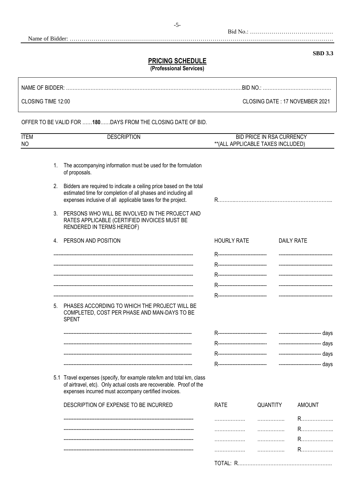#### Bid No.: ……………………………………

TOTAL: R………………………………………………….

#### **PRICING SCHEDULE (Professional Services)**

### NAME OF BIDDER: ………………………………………………………………………………………………BID NO.: ……………………………………

### CLOSING TIME 12:00 CLOSING DATE : 17 NOVEMBER 2021

### OFFER TO BE VALID FOR ……**180**……DAYS FROM THE CLOSING DATE OF BID.

| ITEM<br>NO. |                | <b>DESCRIPTION</b>                                                                                                                                                                                                                                                                    |                                                                                                                                 | <b>BID PRICE IN RSA CURRENCY</b><br>** (ALL APPLICABLE TAXES INCLUDED) |                                                                                                                            |
|-------------|----------------|---------------------------------------------------------------------------------------------------------------------------------------------------------------------------------------------------------------------------------------------------------------------------------------|---------------------------------------------------------------------------------------------------------------------------------|------------------------------------------------------------------------|----------------------------------------------------------------------------------------------------------------------------|
|             | 1.<br>2.       | The accompanying information must be used for the formulation<br>of proposals.<br>Bidders are required to indicate a ceiling price based on the total<br>estimated time for completion of all phases and including all<br>expenses inclusive of all applicable taxes for the project. |                                                                                                                                 |                                                                        |                                                                                                                            |
|             | 3 <sub>1</sub> | PERSONS WHO WILL BE INVOLVED IN THE PROJECT AND<br>RATES APPLICABLE (CERTIFIED INVOICES MUST BE<br>RENDERED IN TERMS HEREOF)                                                                                                                                                          |                                                                                                                                 |                                                                        |                                                                                                                            |
|             |                | 4. PERSON AND POSITION                                                                                                                                                                                                                                                                | <b>HOURLY RATE</b><br>R-------------------------------<br>R-------------------------------<br>R-------------------------------- |                                                                        | <b>DAILY RATE</b><br>-------------------------------<br>---------------------------------<br>----------------------------- |
|             | 5.             | PHASES ACCORDING TO WHICH THE PROJECT WILL BE<br>COMPLETED, COST PER PHASE AND MAN-DAYS TO BE<br><b>SPENT</b>                                                                                                                                                                         | R-------------------------------<br>R--------------------------------                                                           |                                                                        | __________________________________<br>------------------------- days                                                       |
|             |                | 5.1 Travel expenses (specify, for example rate/km and total km, class<br>of airtravel, etc). Only actual costs are recoverable. Proof of the<br>expenses incurred must accompany certified invoices.<br>DESCRIPTION OF EXPENSE TO BE INCURRED                                         | <b>RATE</b>                                                                                                                     | QUANTITY                                                               | <b>AMOUNT</b><br>R…………………                                                                                                  |
|             |                |                                                                                                                                                                                                                                                                                       |                                                                                                                                 |                                                                        | R…………………                                                                                                                   |

**SBD 3.3**

-5-

Name of Bidder: …………………………………………………………………………………………………………………….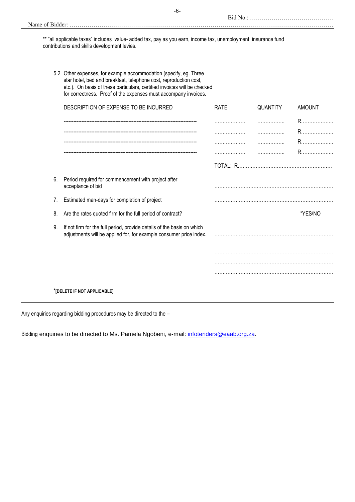|    | ** "all applicable taxes" includes value- added tax, pay as you earn, income tax, unemployment insurance fund<br>contributions and skills development levies.                                                                                                                         |             |                 |               |
|----|---------------------------------------------------------------------------------------------------------------------------------------------------------------------------------------------------------------------------------------------------------------------------------------|-------------|-----------------|---------------|
|    | 5.2 Other expenses, for example accommodation (specify, eg. Three<br>star hotel, bed and breakfast, telephone cost, reproduction cost,<br>etc.). On basis of these particulars, certified invoices will be checked<br>for correctness. Proof of the expenses must accompany invoices. |             |                 |               |
|    | DESCRIPTION OF EXPENSE TO BE INCURRED                                                                                                                                                                                                                                                 | <b>RATE</b> | <b>QUANTITY</b> | <b>AMOUNT</b> |
|    |                                                                                                                                                                                                                                                                                       | .           | .               | R…………………      |
|    |                                                                                                                                                                                                                                                                                       | .           | .               | R             |
|    |                                                                                                                                                                                                                                                                                       | .           | .               |               |
|    |                                                                                                                                                                                                                                                                                       | .           | .               | R…………………      |
|    |                                                                                                                                                                                                                                                                                       |             |                 |               |
| 6. | Period required for commencement with project after<br>acceptance of bid                                                                                                                                                                                                              |             |                 |               |
| 7. | Estimated man-days for completion of project                                                                                                                                                                                                                                          |             |                 |               |
| 8. | Are the rates quoted firm for the full period of contract?                                                                                                                                                                                                                            |             |                 | *YES/NO       |
| 9. | If not firm for the full period, provide details of the basis on which<br>adjustments will be applied for, for example consumer price index.                                                                                                                                          |             |                 |               |
|    |                                                                                                                                                                                                                                                                                       |             |                 |               |
|    |                                                                                                                                                                                                                                                                                       |             |                 |               |
|    |                                                                                                                                                                                                                                                                                       |             |                 |               |

Any enquiries regarding bidding procedures may be directed to the –

Bidding enquiries to be directed to Ms. Pamela Ngobeni, e-mail: [infotenders@eaab.org.za.](mailto:infotenders@eaab.org.za)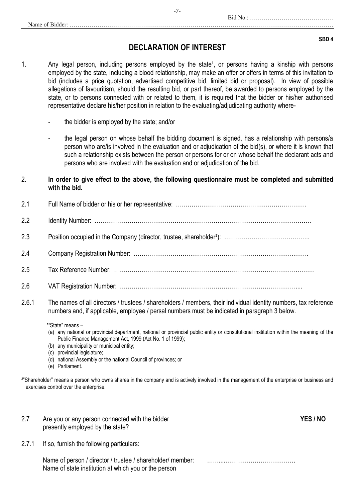-7-

## **DECLARATION OF INTEREST**

- 1. Any legal person, including persons employed by the state<sup>4</sup>, or persons having a kinship with persons employed by the state, including a blood relationship, may make an offer or offers in terms of this invitation to bid (includes a price quotation, advertised competitive bid, limited bid or proposal). In view of possible allegations of favouritism, should the resulting bid, or part thereof, be awarded to persons employed by the state, or to persons connected with or related to them, it is required that the bidder or his/her authorised representative declare his/her position in relation to the evaluating/adjudicating authority where-
	- the bidder is employed by the state; and/or
	- the legal person on whose behalf the bidding document is signed, has a relationship with persons/a person who are/is involved in the evaluation and or adjudication of the bid(s), or where it is known that such a relationship exists between the person or persons for or on whose behalf the declarant acts and persons who are involved with the evaluation and or adjudication of the bid.
- 2. **In order to give effect to the above, the following questionnaire must be completed and submitted with the bid.**

| 2.1 |  |
|-----|--|
| 2.2 |  |
| 2.3 |  |
| 2.4 |  |
| 2.5 |  |
| 2.6 |  |
|     |  |

2.6.1 The names of all directors / trustees / shareholders / members, their individual identity numbers, tax reference numbers and, if applicable, employee / persal numbers must be indicated in paragraph 3 below.

<sup>1</sup>"State" means –

- (a) any national or provincial department, national or provincial public entity or constitutional institution within the meaning of the Public Finance Management Act, 1999 (Act No. 1 of 1999);
- (b) any municipality or municipal entity;
- (c) provincial legislature;
- (d) national Assembly or the national Council of provinces; or
- (e) Parliament.
- <sup>2</sup>"Shareholder" means a person who owns shares in the company and is actively involved in the management of the enterprise or business and exercises control over the enterprise.
- 2.7 Are you or any person connected with the bidder **YES / NO** presently employed by the state?
- 2.7.1 If so, furnish the following particulars:

Name of person / director / trustee / shareholder/ member: ……………………………………………………… Name of state institution at which you or the person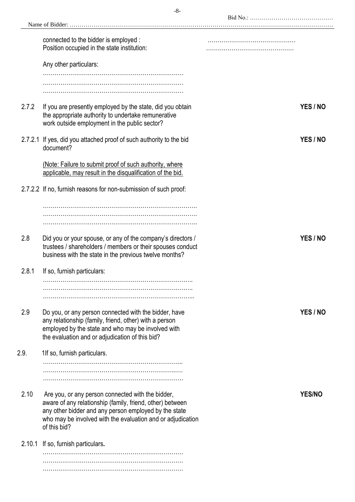| 3id No.: |
|----------|
|----------|

|       | -გ-<br>Name of Bidder: $\dots\dots\dots\dots\dots$                                                                                                                                                                                                     |               |
|-------|--------------------------------------------------------------------------------------------------------------------------------------------------------------------------------------------------------------------------------------------------------|---------------|
|       |                                                                                                                                                                                                                                                        |               |
|       | connected to the bidder is employed :<br>Position occupied in the state institution:                                                                                                                                                                   |               |
|       | Any other particulars:                                                                                                                                                                                                                                 |               |
|       |                                                                                                                                                                                                                                                        |               |
| 2.7.2 | If you are presently employed by the state, did you obtain<br>the appropriate authority to undertake remunerative<br>work outside employment in the public sector?                                                                                     | YES / NO      |
|       | 2.7.2.1 If yes, did you attached proof of such authority to the bid<br>document?                                                                                                                                                                       | YES / NO      |
|       | (Note: Failure to submit proof of such authority, where<br>applicable, may result in the disqualification of the bid.                                                                                                                                  |               |
|       | 2.7.2.2 If no, furnish reasons for non-submission of such proof:                                                                                                                                                                                       |               |
|       |                                                                                                                                                                                                                                                        |               |
|       |                                                                                                                                                                                                                                                        |               |
| 2.8   | Did you or your spouse, or any of the company's directors /<br>trustees / shareholders / members or their spouses conduct<br>business with the state in the previous twelve months?                                                                    | YES / NO      |
| 2.8.1 | If so, furnish particulars:                                                                                                                                                                                                                            |               |
|       |                                                                                                                                                                                                                                                        |               |
|       |                                                                                                                                                                                                                                                        |               |
| 2.9   | Do you, or any person connected with the bidder, have<br>any relationship (family, friend, other) with a person<br>employed by the state and who may be involved with<br>the evaluation and or adjudication of this bid?                               | YES / NO      |
| 2.9.  | 1If so, furnish particulars.                                                                                                                                                                                                                           |               |
|       |                                                                                                                                                                                                                                                        |               |
| 2.10  | Are you, or any person connected with the bidder,<br>aware of any relationship (family, friend, other) between<br>any other bidder and any person employed by the state<br>who may be involved with the evaluation and or adjudication<br>of this bid? | <b>YES/NO</b> |
|       | 2.10.1 If so, furnish particulars.                                                                                                                                                                                                                     |               |
|       |                                                                                                                                                                                                                                                        |               |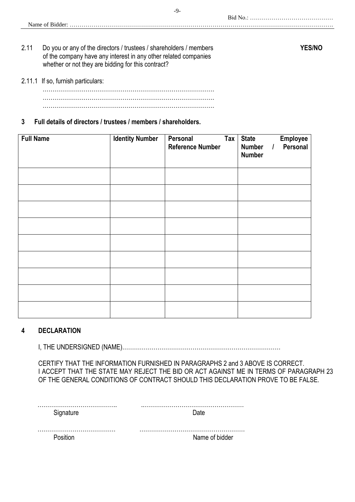|                      | Bid. |
|----------------------|------|
| Name of<br>. Bidder: |      |

- 2.11 Do you or any of the directors / trustees / shareholders / members **YES/NO** of the company have any interest in any other related companies whether or not they are bidding for this contract?
- 2.11.1 If so, furnish particulars:

 ……………………………………………………………………………. ……………………………………………………………………………. …………………………………………………………………………….

**3 Full details of directors / trustees / members / shareholders.**

| <b>Full Name</b> | <b>Identity Number</b> | <b>Tax</b><br>Personal<br><b>Reference Number</b> | <b>Employee</b><br><b>State</b><br>Personal<br><b>Number</b><br>$\prime$<br><b>Number</b> |
|------------------|------------------------|---------------------------------------------------|-------------------------------------------------------------------------------------------|
|                  |                        |                                                   |                                                                                           |
|                  |                        |                                                   |                                                                                           |
|                  |                        |                                                   |                                                                                           |
|                  |                        |                                                   |                                                                                           |
|                  |                        |                                                   |                                                                                           |
|                  |                        |                                                   |                                                                                           |
|                  |                        |                                                   |                                                                                           |
|                  |                        |                                                   |                                                                                           |
|                  |                        |                                                   |                                                                                           |

#### **4 DECLARATION**

I, THE UNDERSIGNED (NAME)………………………………………………………………………

CERTIFY THAT THE INFORMATION FURNISHED IN PARAGRAPHS 2 and 3 ABOVE IS CORRECT. I ACCEPT THAT THE STATE MAY REJECT THE BID OR ACT AGAINST ME IN TERMS OF PARAGRAPH 23 OF THE GENERAL CONDITIONS OF CONTRACT SHOULD THIS DECLARATION PROVE TO BE FALSE.

| Signature | Date           |
|-----------|----------------|
|           | .              |
| Position  | Name of bidder |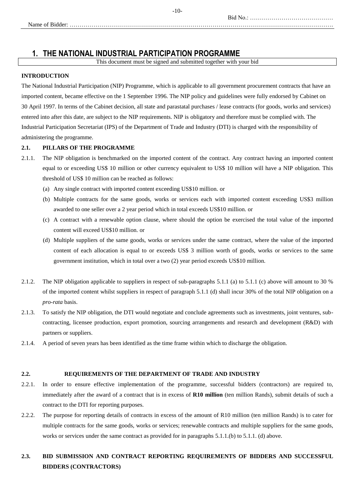-10-

### **1. THE NATIONAL INDUSTRIAL PARTICIPATION PROGRAMME**

This document must be signed and submitted together with your bid

#### **INTRODUCTION**

The National Industrial Participation (NIP) Programme, which is applicable to all government procurement contracts that have an imported content, became effective on the 1 September 1996. The NIP policy and guidelines were fully endorsed by Cabinet on 30 April 1997. In terms of the Cabinet decision, all state and parastatal purchases / lease contracts (for goods, works and services) entered into after this date, are subject to the NIP requirements. NIP is obligatory and therefore must be complied with. The Industrial Participation Secretariat (IPS) of the Department of Trade and Industry (DTI) is charged with the responsibility of administering the programme.

#### **2.1. PILLARS OF THE PROGRAMME**

- 2.1.1. The NIP obligation is benchmarked on the imported content of the contract. Any contract having an imported content equal to or exceeding US\$ 10 million or other currency equivalent to US\$ 10 million will have a NIP obligation. This threshold of US\$ 10 million can be reached as follows:
	- (a) Any single contract with imported content exceeding US\$10 million. or
	- (b) Multiple contracts for the same goods, works or services each with imported content exceeding US\$3 million awarded to one seller over a 2 year period which in total exceeds US\$10 million. or
	- (c) A contract with a renewable option clause, where should the option be exercised the total value of the imported content will exceed US\$10 million. or
	- (d) Multiple suppliers of the same goods, works or services under the same contract, where the value of the imported content of each allocation is equal to or exceeds US\$ 3 million worth of goods, works or services to the same government institution, which in total over a two (2) year period exceeds US\$10 million.
- 2.1.2. The NIP obligation applicable to suppliers in respect of sub-paragraphs 5.1.1 (a) to 5.1.1 (c) above will amount to 30 % of the imported content whilst suppliers in respect of paragraph 5.1.1 (d) shall incur 30% of the total NIP obligation on a *pro-rata* basis.
- 2.1.3. To satisfy the NIP obligation, the DTI would negotiate and conclude agreements such as investments, joint ventures, subcontracting, licensee production, export promotion, sourcing arrangements and research and development (R&D) with partners or suppliers.
- 2.1.4. A period of seven years has been identified as the time frame within which to discharge the obligation.

#### **2.2. REQUIREMENTS OF THE DEPARTMENT OF TRADE AND INDUSTRY**

- 2.2.1. In order to ensure effective implementation of the programme, successful bidders (contractors) are required to, immediately after the award of a contract that is in excess of **R10 million** (ten million Rands), submit details of such a contract to the DTI for reporting purposes.
- 2.2.2. The purpose for reporting details of contracts in excess of the amount of R10 million (ten million Rands) is to cater for multiple contracts for the same goods, works or services; renewable contracts and multiple suppliers for the same goods, works or services under the same contract as provided for in paragraphs 5.1.1.(b) to 5.1.1. (d) above.

### **2.3. BID SUBMISSION AND CONTRACT REPORTING REQUIREMENTS OF BIDDERS AND SUCCESSFUL BIDDERS (CONTRACTORS)**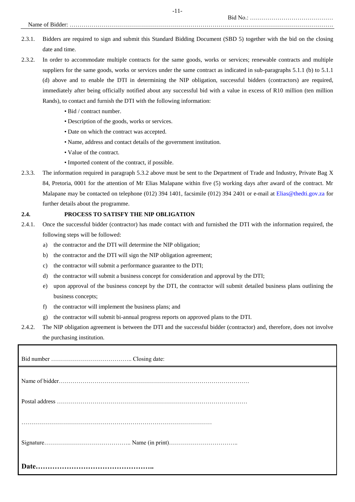Bid No.: …………………………………… Name of Bidder: …………………………………………………………………………………………………………………….

- 2.3.1. Bidders are required to sign and submit this Standard Bidding Document (SBD 5) together with the bid on the closing date and time.
- 2.3.2. In order to accommodate multiple contracts for the same goods, works or services; renewable contracts and multiple suppliers for the same goods, works or services under the same contract as indicated in sub-paragraphs 5.1.1 (b) to 5.1.1 (d) above and to enable the DTI in determining the NIP obligation, successful bidders (contractors) are required, immediately after being officially notified about any successful bid with a value in excess of R10 million (ten million Rands), to contact and furnish the DTI with the following information:
	- Bid / contract number.
	- Description of the goods, works or services.
	- Date on which the contract was accepted.
	- Name, address and contact details of the government institution.
	- Value of the contract.
	- Imported content of the contract, if possible.
- 2.3.3. The information required in paragraph 5.3.2 above must be sent to the Department of Trade and Industry, Private Bag X 84, Pretoria, 0001 for the attention of Mr Elias Malapane within five (5) working days after award of the contract. Mr Malapane may be contacted on telephone (012) 394 1401, facsimile (012) 394 2401 or e-mail at Elias@thedti.gov.za for further details about the programme.

#### **2.4. PROCESS TO SATISFY THE NIP OBLIGATION**

- 2.4.1. Once the successful bidder (contractor) has made contact with and furnished the DTI with the information required, the following steps will be followed:
	- a) the contractor and the DTI will determine the NIP obligation;
	- b) the contractor and the DTI will sign the NIP obligation agreement;
	- c) the contractor will submit a performance guarantee to the DTI;
	- d) the contractor will submit a business concept for consideration and approval by the DTI;
	- e) upon approval of the business concept by the DTI, the contractor will submit detailed business plans outlining the business concepts;
	- f) the contractor will implement the business plans; and
	- g) the contractor will submit bi-annual progress reports on approved plans to the DTI.
- 2.4.2. The NIP obligation agreement is between the DTI and the successful bidder (contractor) and, therefore, does not involve the purchasing institution.

-11-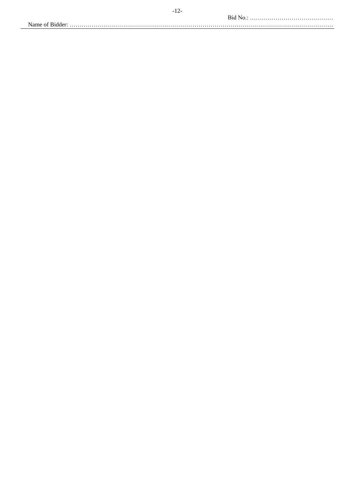| $-1/$           |                                              |
|-----------------|----------------------------------------------|
|                 | $\operatorname{Rid} \operatorname{No} \cdot$ |
| Name of Bidder: |                                              |
|                 |                                              |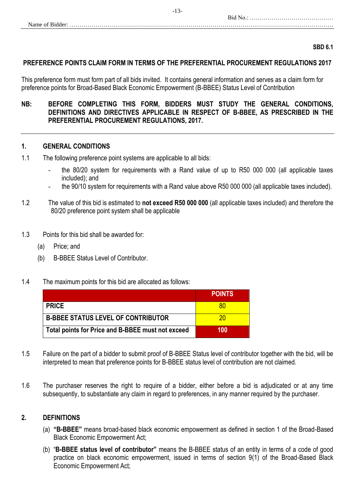#### Bid No.: …………………………………… Name of Bidder: …………………………………………………………………………………………………………………….

### **SBD 6.1**

## **PREFERENCE POINTS CLAIM FORM IN TERMS OF THE PREFERENTIAL PROCUREMENT REGULATIONS 2017**

This preference form must form part of all bids invited. It contains general information and serves as a claim form for preference points for Broad-Based Black Economic Empowerment (B-BBEE) Status Level of Contribution

### **NB: BEFORE COMPLETING THIS FORM, BIDDERS MUST STUDY THE GENERAL CONDITIONS, DEFINITIONS AND DIRECTIVES APPLICABLE IN RESPECT OF B-BBEE, AS PRESCRIBED IN THE PREFERENTIAL PROCUREMENT REGULATIONS, 2017.**

## **1. GENERAL CONDITIONS**

- 1.1 The following preference point systems are applicable to all bids:
	- the 80/20 system for requirements with a Rand value of up to R50 000 000 (all applicable taxes included); and
	- the 90/10 system for requirements with a Rand value above R50 000 000 (all applicable taxes included).
- 1.2 The value of this bid is estimated to **not exceed R50 000 000** (all applicable taxes included) and therefore the 80/20 preference point system shall be applicable
- 1.3 Points for this bid shall be awarded for:
	- (a) Price; and
	- (b) B-BBEE Status Level of Contributor.
- 1.4 The maximum points for this bid are allocated as follows:

|                                                   | <b>POINTS</b> |
|---------------------------------------------------|---------------|
| <b>PRICE</b>                                      | 80            |
| <b>B-BBEE STATUS LEVEL OF CONTRIBUTOR</b>         | 20            |
| Total points for Price and B-BBEE must not exceed | 100           |

- 1.5 Failure on the part of a bidder to submit proof of B-BBEE Status level of contributor together with the bid, will be interpreted to mean that preference points for B-BBEE status level of contribution are not claimed.
- 1.6 The purchaser reserves the right to require of a bidder, either before a bid is adjudicated or at any time subsequently, to substantiate any claim in regard to preferences, in any manner required by the purchaser.

## **2. DEFINITIONS**

- (a) **"B-BBEE"** means broad-based black economic empowerment as defined in section 1 of the Broad-Based Black Economic Empowerment Act;
- (b) "**B-BBEE status level of contributor"** means the B-BBEE status of an entity in terms of a code of good practice on black economic empowerment, issued in terms of section 9(1) of the Broad-Based Black Economic Empowerment Act;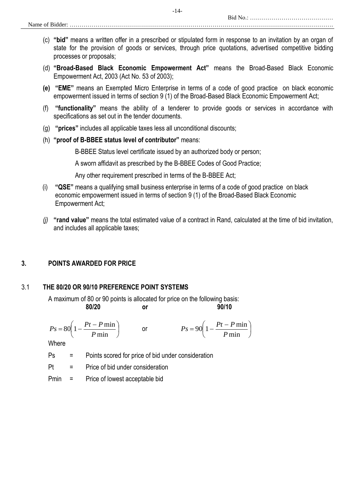(c) **"bid"** means a written offer in a prescribed or stipulated form in response to an invitation by an organ of state for the provision of goods or services, through price quotations, advertised competitive bidding processes or proposals;

 $\operatorname{Bid} \operatorname{No}$ .

- (d) **"Broad-Based Black Economic Empowerment Act"** means the Broad-Based Black Economic Empowerment Act, 2003 (Act No. 53 of 2003);
- **(e) "EME"** means an Exempted Micro Enterprise in terms of a code of good practice on black economic empowerment issued in terms of section 9 (1) of the Broad-Based Black Economic Empowerment Act;
- (f) **"functionality"** means the ability of a tenderer to provide goods or services in accordance with specifications as set out in the tender documents.
- (g) **"prices"** includes all applicable taxes less all unconditional discounts;
- (h) **"proof of B-BBEE status level of contributor"** means:

B-BBEE Status level certificate issued by an authorized body or person;

A sworn affidavit as prescribed by the B-BBEE Codes of Good Practice;

Any other requirement prescribed in terms of the B-BBEE Act;

- (i) **"QSE"** means a qualifying small business enterprise in terms of a code of good practice on black economic empowerment issued in terms of section 9 (1) of the Broad-Based Black Economic Empowerment Act;
- *(j)* **"rand value"** means the total estimated value of a contract in Rand, calculated at the time of bid invitation, and includes all applicable taxes;

### **3. POINTS AWARDED FOR PRICE**

### 3.1 **THE 80/20 OR 90/10 PREFERENCE POINT SYSTEMS**

A maximum of 80 or 90 points is allocated for price on the following basis: **80/20 or 90/10**

$$
Ps = 80\left(1 - \frac{Pt - P \min}{P \min}\right) \qquad \text{or} \qquad \qquad Ps = 90\left(1 - \frac{Pt - P \min}{P \min}\right)
$$

Where

Ps = Points scored for price of bid under consideration

Pt = Price of bid under consideration

Pmin = Price of lowest acceptable bid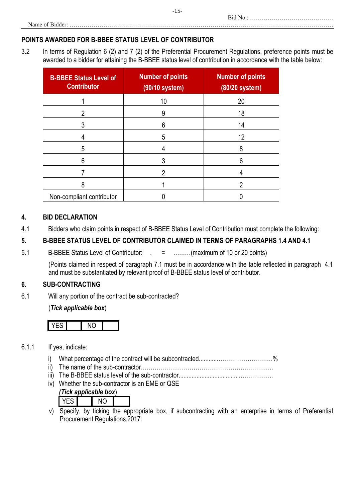### **POINTS AWARDED FOR B-BBEE STATUS LEVEL OF CONTRIBUTOR**

3.2 In terms of Regulation 6 (2) and 7 (2) of the Preferential Procurement Regulations, preference points must be awarded to a bidder for attaining the B-BBEE status level of contribution in accordance with the table below:

| <b>B-BBEE Status Level of</b><br><b>Contributor</b> | <b>Number of points</b><br>$(90/10$ system) | <b>Number of points</b><br>$(80/20$ system) |
|-----------------------------------------------------|---------------------------------------------|---------------------------------------------|
|                                                     | 10                                          | 20                                          |
| 2                                                   | 9                                           | 18                                          |
|                                                     | 6                                           | 14                                          |
|                                                     | 5                                           | 12                                          |
| 5                                                   | 4                                           | 8                                           |
| 6                                                   | 3                                           | 6                                           |
|                                                     | 2                                           |                                             |
|                                                     |                                             | 2                                           |
| Non-compliant contributor                           |                                             |                                             |

### **4. BID DECLARATION**

4.1 Bidders who claim points in respect of B-BBEE Status Level of Contribution must complete the following:

### **5. B-BBEE STATUS LEVEL OF CONTRIBUTOR CLAIMED IN TERMS OF PARAGRAPHS 1.4 AND 4.1**

5.1 B-BBEE Status Level of Contributor: . = ………(maximum of 10 or 20 points)

(Points claimed in respect of paragraph 7.1 must be in accordance with the table reflected in paragraph 4.1 and must be substantiated by relevant proof of B-BBEE status level of contributor.

### **6. SUB-CONTRACTING**

6.1 Will any portion of the contract be sub-contracted?

(*Tick applicable box*)

### 6.1.1 If yes, indicate:

- i) What percentage of the contract will be subcontracted............…………….…………%
- ii) The name of the sub-contractor…………………………………………………………..
- iii) The B-BBEE status level of the sub-contractor......................................……………..
- iv) Whether the sub-contractor is an EME or QSE

| (Tick applicable box) |  |  |
|-----------------------|--|--|
| YES l                 |  |  |

v) Specify, by ticking the appropriate box, if subcontracting with an enterprise in terms of Preferential Procurement Regulations,2017:

Name of Bidder: …………………………………………………………………………………………………………………….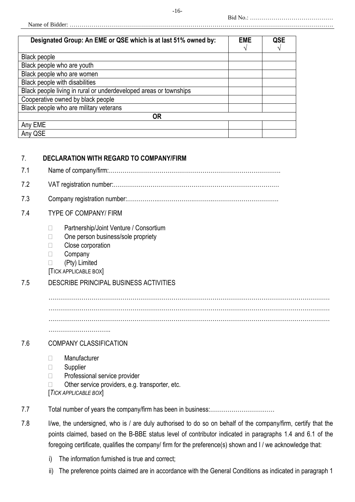| Designated Group: An EME or QSE which is at last 51% owned by:    | <b>EME</b>    | <b>QSE</b> |
|-------------------------------------------------------------------|---------------|------------|
|                                                                   | $\mathcal{N}$ | ٦١         |
| <b>Black people</b>                                               |               |            |
| Black people who are youth                                        |               |            |
| Black people who are women                                        |               |            |
| Black people with disabilities                                    |               |            |
| Black people living in rural or underdeveloped areas or townships |               |            |
| Cooperative owned by black people                                 |               |            |
| Black people who are military veterans                            |               |            |
| <b>OR</b>                                                         |               |            |
| Any EME                                                           |               |            |
| Any QSE                                                           |               |            |

### 7. **DECLARATION WITH REGARD TO COMPANY/FIRM**

7.1 Name of company/firm:…………………………………………………………………………….

7.2 VAT registration number:……………………………………….…………………………………

7.3 Company registration number:…………….……………………….…………………………….

### 7.4 TYPE OF COMPANY/ FIRM

- □ Partnership/Joint Venture / Consortium
- □ One person business/sole propriety
- □ Close corporation
- □ Company
- (Pty) Limited
- [TICK APPLICABLE BOX]

### 7.5 DESCRIBE PRINCIPAL BUSINESS ACTIVITIES

……………………………………………………………………………………………………………………………… . The contract of the contract of the contract of the contract of the contract of the contract of the contract of the contract of the contract of the contract of the contract of the contract of the contract of the contrac  $\mathcal{L}^{\text{max}}$ ……………………………………

### 7.6 COMPANY CLASSIFICATION

- □ Manufacturer
- □ Supplier
- □ Professional service provider
- $\Box$  Other service providers, e.g. transporter, etc.

[*TICK APPLICABLE BOX*]

- 7.7 Total number of years the company/firm has been in business:……………………………
- 7.8 I/we, the undersigned, who is / are duly authorised to do so on behalf of the company/firm, certify that the points claimed, based on the B-BBE status level of contributor indicated in paragraphs 1.4 and 6.1 of the foregoing certificate, qualifies the company/ firm for the preference(s) shown and I / we acknowledge that:
	- i) The information furnished is true and correct;
	- ii) The preference points claimed are in accordance with the General Conditions as indicated in paragraph 1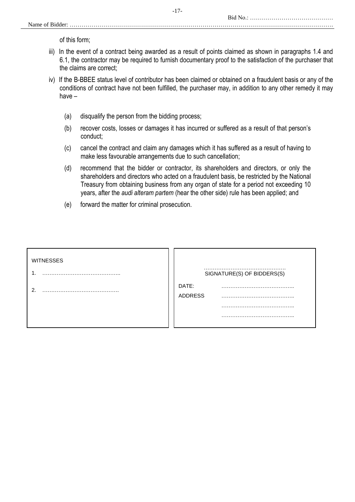of this form;

- iii) In the event of a contract being awarded as a result of points claimed as shown in paragraphs 1.4 and 6.1, the contractor may be required to furnish documentary proof to the satisfaction of the purchaser that the claims are correct;
- iv) If the B-BBEE status level of contributor has been claimed or obtained on a fraudulent basis or any of the conditions of contract have not been fulfilled, the purchaser may, in addition to any other remedy it may have –
	- (a) disqualify the person from the bidding process;
	- (b) recover costs, losses or damages it has incurred or suffered as a result of that person's conduct;
	- (c) cancel the contract and claim any damages which it has suffered as a result of having to make less favourable arrangements due to such cancellation;
	- (d) recommend that the bidder or contractor, its shareholders and directors, or only the shareholders and directors who acted on a fraudulent basis, be restricted by the National Treasury from obtaining business from any organ of state for a period not exceeding 10 years, after the *audi alteram partem* (hear the other side) rule has been applied; and
	- (e) forward the matter for criminal prosecution.

| <b>WITNESSES</b> | SIGNATURE(S) OF BIDDERS(S) |
|------------------|----------------------------|
| ົ                | DATE:<br><b>ADDRESS</b>    |
|                  |                            |
|                  |                            |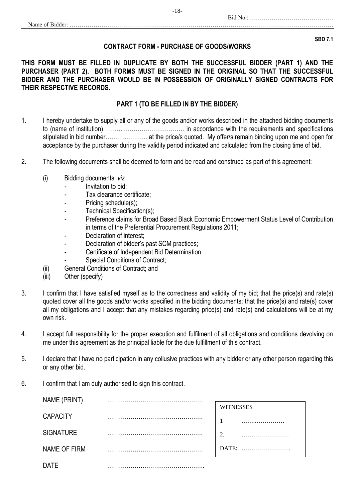### **CONTRACT FORM - PURCHASE OF GOODS/WORKS**

**SBD 7.1**

**THIS FORM MUST BE FILLED IN DUPLICATE BY BOTH THE SUCCESSFUL BIDDER (PART 1) AND THE PURCHASER (PART 2). BOTH FORMS MUST BE SIGNED IN THE ORIGINAL SO THAT THE SUCCESSFUL BIDDER AND THE PURCHASER WOULD BE IN POSSESSION OF ORIGINALLY SIGNED CONTRACTS FOR THEIR RESPECTIVE RECORDS.**

### **PART 1 (TO BE FILLED IN BY THE BIDDER)**

- 1. I hereby undertake to supply all or any of the goods and/or works described in the attached bidding documents to (name of institution)………..…………………………. in accordance with the requirements and specifications stipulated in bid number………..……….. at the price/s quoted. My offer/s remain binding upon me and open for acceptance by the purchaser during the validity period indicated and calculated from the closing time of bid.
- 2. The following documents shall be deemed to form and be read and construed as part of this agreement:
	- (i) Bidding documents, *viz*
		- *-* Invitation to bid;
		- *-* Tax clearance certificate;
		- Pricing schedule(s);
		- *-* Technical Specification(s);
		- *-* Preference claims for Broad Based Black Economic Empowerment Status Level of Contribution in terms of the Preferential Procurement Regulations 2011;
		- *-* Declaration of interest;
		- *-* Declaration of bidder's past SCM practices;
		- *-* Certificate of Independent Bid Determination
		- *-* Special Conditions of Contract;
	- (ii) General Conditions of Contract; and
	- (iii) Other (specify)
- 3. I confirm that I have satisfied myself as to the correctness and validity of my bid; that the price(s) and rate(s) quoted cover all the goods and/or works specified in the bidding documents; that the price(s) and rate(s) cover all my obligations and I accept that any mistakes regarding price(s) and rate(s) and calculations will be at my own risk.
- 4. I accept full responsibility for the proper execution and fulfilment of all obligations and conditions devolving on me under this agreement as the principal liable for the due fulfillment of this contract.
- 5. I declare that I have no participation in any collusive practices with any bidder or any other person regarding this or any other bid.
- 6. I confirm that I am duly authorised to sign this contract.

| NAME (PRINT)     |                      |
|------------------|----------------------|
|                  | <br><b>WITNESSES</b> |
| <b>CAPACITY</b>  | .                    |
| <b>SIGNATURE</b> | <br>2.<br>.          |
| NAME OF FIRM     | DATE:                |
| DATE             |                      |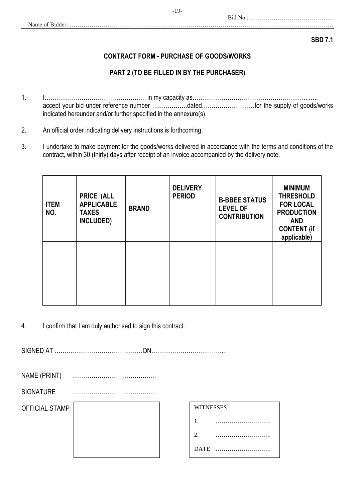### **SBD 7.1**

## **CONTRACT FORM - PURCHASE OF GOODS/WORKS**

## **PART 2 (TO BE FILLED IN BY THE PURCHASER)**

- 1. I……………………………………………. in my capacity as…………………………………………………...….. accept your bid under reference number ………………dated………………………for the supply of goods/works indicated hereunder and/or further specified in the annexure(s).
- 2. An official order indicating delivery instructions is forthcoming.
- 3. I undertake to make payment for the goods/works delivered in accordance with the terms and conditions of the contract, within 30 (thirty) days after receipt of an invoice accompanied by the delivery note.

| <b>ITEM</b><br>NO. | PRICE (ALL<br><b>APPLICABLE</b><br><b>TAXES</b><br>INCLUDED) | <b>BRAND</b> | <b>DELIVERY</b><br><b>PERIOD</b> | <b>B-BBEE STATUS</b><br><b>LEVEL OF</b><br><b>CONTRIBUTION</b> | <b>MINIMUM</b><br><b>THRESHOLD</b><br><b>FOR LOCAL</b><br><b>PRODUCTION</b><br><b>AND</b><br><b>CONTENT (if</b><br>applicable) |
|--------------------|--------------------------------------------------------------|--------------|----------------------------------|----------------------------------------------------------------|--------------------------------------------------------------------------------------------------------------------------------|
|                    |                                                              |              |                                  |                                                                |                                                                                                                                |

4. I confirm that I am duly authorised to sign this contract.

SIGNED AT ………………………………………ON………………………………..

NAME (PRINT) …………………………………….

SIGNATURE …………………………………….

**OFFICIAL STAMP** 

| <b>WITNESSES</b> |  |  |
|------------------|--|--|
| 1.               |  |  |
| 2.               |  |  |
| <b>DATE</b>      |  |  |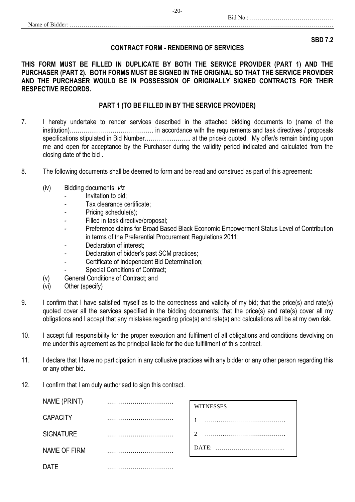### **CONTRACT FORM - RENDERING OF SERVICES**

#### **SBD 7.2**

**THIS FORM MUST BE FILLED IN DUPLICATE BY BOTH THE SERVICE PROVIDER (PART 1) AND THE PURCHASER (PART 2). BOTH FORMS MUST BE SIGNED IN THE ORIGINAL SO THAT THE SERVICE PROVIDER AND THE PURCHASER WOULD BE IN POSSESSION OF ORIGINALLY SIGNED CONTRACTS FOR THEIR RESPECTIVE RECORDS.**

### **PART 1 (TO BE FILLED IN BY THE SERVICE PROVIDER)**

- 7. I hereby undertake to render services described in the attached bidding documents to (name of the institution)……………………………………. in accordance with the requirements and task directives / proposals specifications stipulated in Bid Number……………………….. at the price/s quoted. My offer/s remain binding upon me and open for acceptance by the Purchaser during the validity period indicated and calculated from the closing date of the bid .
- 8. The following documents shall be deemed to form and be read and construed as part of this agreement:
	- (iv) Bidding documents, *viz*
		- *-* Invitation to bid;
		- *-* Tax clearance certificate;
		- Pricing schedule(s);
		- *-* Filled in task directive/proposal;
		- *-* Preference claims for Broad Based Black Economic Empowerment Status Level of Contribution in terms of the Preferential Procurement Regulations 2011;
		- *-* Declaration of interest;
		- *-* Declaration of bidder's past SCM practices;
		- *-* Certificate of Independent Bid Determination;
		- **Special Conditions of Contract;**
	- (v) General Conditions of Contract; and
	- (vi) Other (specify)
- 9. I confirm that I have satisfied myself as to the correctness and validity of my bid; that the price(s) and rate(s) quoted cover all the services specified in the bidding documents; that the price(s) and rate(s) cover all my obligations and I accept that any mistakes regarding price(s) and rate(s) and calculations will be at my own risk.
- 10. I accept full responsibility for the proper execution and fulfilment of all obligations and conditions devolving on me under this agreement as the principal liable for the due fulfillment of this contract.
- 11. I declare that I have no participation in any collusive practices with any bidder or any other person regarding this or any other bid.
- 12. I confirm that I am duly authorised to sign this contract.

| NAME (PRINT)     | <b>WITNESSES</b> |
|------------------|------------------|
| <b>CAPACITY</b>  |                  |
| <b>SIGNATURE</b> | ി                |
| NAME OF FIRM     | DATE:            |
| DATE             |                  |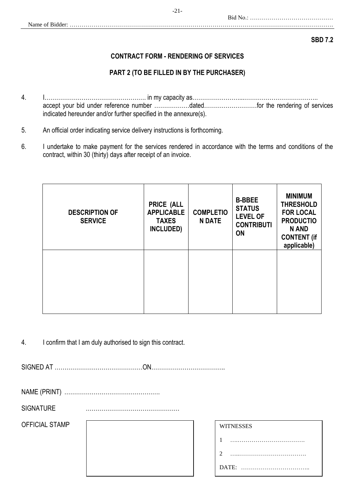### **SBD 7.2**

## **CONTRACT FORM - RENDERING OF SERVICES**

## **PART 2 (TO BE FILLED IN BY THE PURCHASER)**

- 4. I……………………………………………. in my capacity as……………………...……………………………….. accept your bid under reference number ………………dated………………………for the rendering of services indicated hereunder and/or further specified in the annexure(s).
- 5. An official order indicating service delivery instructions is forthcoming.
- 6. I undertake to make payment for the services rendered in accordance with the terms and conditions of the contract, within 30 (thirty) days after receipt of an invoice.

| <b>DESCRIPTION OF</b><br><b>SERVICE</b> | <b>PRICE (ALL</b><br><b>APPLICABLE</b><br><b>TAXES</b><br>INCLUDED) | <b>COMPLETIO</b><br><b>N DATE</b> | <b>B-BBEE</b><br><b>STATUS</b><br><b>LEVEL OF</b><br><b>CONTRIBUTI</b><br><b>ON</b> | <b>MINIMUM</b><br><b>THRESHOLD</b><br><b>FOR LOCAL</b><br><b>PRODUCTIO</b><br><b>N AND</b><br><b>CONTENT</b> (if<br>applicable) |
|-----------------------------------------|---------------------------------------------------------------------|-----------------------------------|-------------------------------------------------------------------------------------|---------------------------------------------------------------------------------------------------------------------------------|
|                                         |                                                                     |                                   |                                                                                     |                                                                                                                                 |

4. I confirm that I am duly authorised to sign this contract.

SIGNED AT ………………………………………ON………………………………..

NAME (PRINT) ………………………………………….

SIGNATURE …………………………………………

**OFFICIAL STAMP** 

| <b>WITNESSES</b> |
|------------------|
|                  |
|                  |
| DATE:            |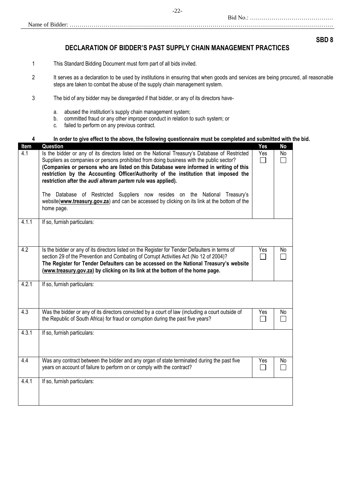**SBD 8**

### **DECLARATION OF BIDDER'S PAST SUPPLY CHAIN MANAGEMENT PRACTICES**

- 1 This Standard Bidding Document must form part of all bids invited.
- 2 It serves as a declaration to be used by institutions in ensuring that when goods and services are being procured, all reasonable steps are taken to combat the abuse of the supply chain management system.
- 3 The bid of any bidder may be disregarded if that bidder, or any of its directors have
	- a. abused the institution's supply chain management system;
	- b. committed fraud or any other improper conduct in relation to such system; or
	- c. failed to perform on any previous contract.

#### **4 In order to give effect to the above, the following questionnaire must be completed and submitted with the bid.**

| Item  | Question                                                                                                                                                                                                                                                                                                                                                                                                                                    | Yes                             | No            |
|-------|---------------------------------------------------------------------------------------------------------------------------------------------------------------------------------------------------------------------------------------------------------------------------------------------------------------------------------------------------------------------------------------------------------------------------------------------|---------------------------------|---------------|
| 4.1   | Is the bidder or any of its directors listed on the National Treasury's Database of Restricted<br>Suppliers as companies or persons prohibited from doing business with the public sector?<br>(Companies or persons who are listed on this Database were informed in writing of this<br>restriction by the Accounting Officer/Authority of the institution that imposed the<br>restriction after the audi alteram partem rule was applied). | Yes<br>П                        | No.<br>$\sim$ |
|       | The Database of Restricted Suppliers now resides on the National Treasury's<br>website(www.treasury.gov.za) and can be accessed by clicking on its link at the bottom of the<br>home page.                                                                                                                                                                                                                                                  |                                 |               |
| 4.1.1 | If so, furnish particulars:                                                                                                                                                                                                                                                                                                                                                                                                                 |                                 |               |
| 4.2   | Is the bidder or any of its directors listed on the Register for Tender Defaulters in terms of<br>section 29 of the Prevention and Combating of Corrupt Activities Act (No 12 of 2004)?<br>The Register for Tender Defaulters can be accessed on the National Treasury's website<br>(www.treasury.gov.za) by clicking on its link at the bottom of the home page.                                                                           | Yes                             | No            |
| 4.2.1 | If so, furnish particulars:                                                                                                                                                                                                                                                                                                                                                                                                                 |                                 |               |
| 4.3   | Was the bidder or any of its directors convicted by a court of law (including a court outside of<br>the Republic of South Africa) for fraud or corruption during the past five years?                                                                                                                                                                                                                                                       | Yes<br>$\overline{\phantom{a}}$ | No<br>$\sim$  |
| 4.3.1 | If so, furnish particulars:                                                                                                                                                                                                                                                                                                                                                                                                                 |                                 |               |
| 4.4   | Was any contract between the bidder and any organ of state terminated during the past five<br>years on account of failure to perform on or comply with the contract?                                                                                                                                                                                                                                                                        | Yes<br>$\mathcal{L}$            | No            |
| 4.4.1 | If so, furnish particulars:                                                                                                                                                                                                                                                                                                                                                                                                                 |                                 |               |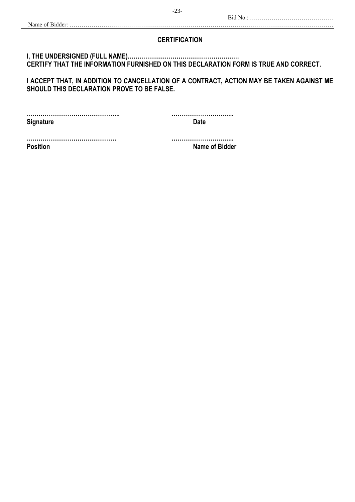#### **CERTIFICATION**

**I, THE UNDERSIGNED (FULL NAME)………………………………………………… CERTIFY THAT THE INFORMATION FURNISHED ON THIS DECLARATION FORM IS TRUE AND CORRECT.**

**I ACCEPT THAT, IN ADDITION TO CANCELLATION OF A CONTRACT, ACTION MAY BE TAKEN AGAINST ME SHOULD THIS DECLARATION PROVE TO BE FALSE.**

**………………………………………... ………………………….. Signature Date** 

**………………………………………. ………………………….. Position Name of Bidder**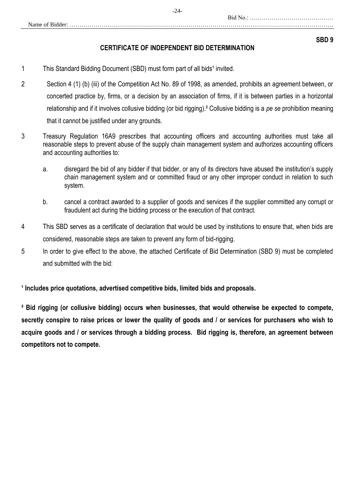### **CERTIFICATE OF INDEPENDENT BID DETERMINATION**

- 1 This Standard Bidding Document (SBD) must form part of all bids<sup>1</sup> invited.
- 2 Section 4 (1) (b) (iii) of the Competition Act No. 89 of 1998, as amended, prohibits an agreement between, or concerted practice by, firms, or a decision by an association of firms, if it is between parties in a horizontal relationship and if it involves collusive bidding (or bid rigging).² Collusive bidding is a *pe se* prohibition meaning that it cannot be justified under any grounds.
- 3 Treasury Regulation 16A9 prescribes that accounting officers and accounting authorities must take all reasonable steps to prevent abuse of the supply chain management system and authorizes accounting officers and accounting authorities to:
	- a. disregard the bid of any bidder if that bidder, or any of its directors have abused the institution's supply chain management system and or committed fraud or any other improper conduct in relation to such system.
	- b. cancel a contract awarded to a supplier of goods and services if the supplier committed any corrupt or fraudulent act during the bidding process or the execution of that contract.
- 4 This SBD serves as a certificate of declaration that would be used by institutions to ensure that, when bids are considered, reasonable steps are taken to prevent any form of bid-rigging.
- 5 In order to give effect to the above, the attached Certificate of Bid Determination (SBD 9) must be completed and submitted with the bid:

**¹ Includes price quotations, advertised competitive bids, limited bids and proposals.**

**² Bid rigging (or collusive bidding) occurs when businesses, that would otherwise be expected to compete, secretly conspire to raise prices or lower the quality of goods and / or services for purchasers who wish to acquire goods and / or services through a bidding process. Bid rigging is, therefore, an agreement between competitors not to compete.**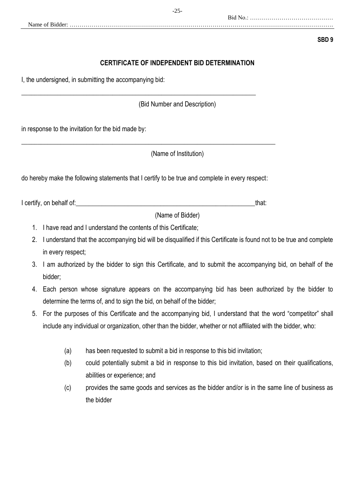#### Bid No.: ……………………………………

#### Name of Bidder: …………………………………………………………………………………………………………………….

### **SBD 9**

## **CERTIFICATE OF INDEPENDENT BID DETERMINATION**

I, the undersigned, in submitting the accompanying bid:

(Bid Number and Description)

in response to the invitation for the bid made by:

(Name of Institution)

do hereby make the following statements that I certify to be true and complete in every respect:

\_\_\_\_\_\_\_\_\_\_\_\_\_\_\_\_\_\_\_\_\_\_\_\_\_\_\_\_\_\_\_\_\_\_\_\_\_\_\_\_\_\_\_\_\_\_\_\_\_\_\_\_\_\_\_\_\_\_\_\_\_\_\_\_\_\_\_\_\_\_\_\_\_\_\_\_\_\_

\_\_\_\_\_\_\_\_\_\_\_\_\_\_\_\_\_\_\_\_\_\_\_\_\_\_\_\_\_\_\_\_\_\_\_\_\_\_\_\_\_\_\_\_\_\_\_\_\_\_\_\_\_\_\_\_\_\_\_\_\_\_\_\_\_\_\_\_\_\_\_\_

I certify, on behalf of: the state of the state of the state of the state of the state of the state of the state of the state of the state of the state of the state of the state of the state of the state of the state of th

(Name of Bidder)

- 1. I have read and I understand the contents of this Certificate;
- 2. I understand that the accompanying bid will be disqualified if this Certificate is found not to be true and complete in every respect;
- 3. I am authorized by the bidder to sign this Certificate, and to submit the accompanying bid, on behalf of the bidder;
- 4. Each person whose signature appears on the accompanying bid has been authorized by the bidder to determine the terms of, and to sign the bid, on behalf of the bidder;
- 5. For the purposes of this Certificate and the accompanying bid, I understand that the word "competitor" shall include any individual or organization, other than the bidder, whether or not affiliated with the bidder, who:
	- (a) has been requested to submit a bid in response to this bid invitation;
	- (b) could potentially submit a bid in response to this bid invitation, based on their qualifications, abilities or experience; and
	- (c) provides the same goods and services as the bidder and/or is in the same line of business as the bidder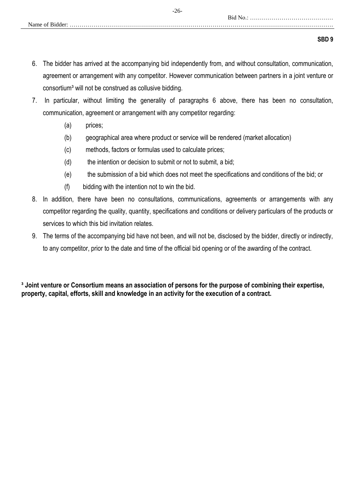- 6. The bidder has arrived at the accompanying bid independently from, and without consultation, communication, agreement or arrangement with any competitor. However communication between partners in a joint venture or consortium<sup>3</sup> will not be construed as collusive bidding.
- 7. In particular, without limiting the generality of paragraphs 6 above, there has been no consultation, communication, agreement or arrangement with any competitor regarding:
	- (a) prices;
	- (b) geographical area where product or service will be rendered (market allocation)
	- (c) methods, factors or formulas used to calculate prices;
	- (d) the intention or decision to submit or not to submit, a bid;
	- (e) the submission of a bid which does not meet the specifications and conditions of the bid; or
	- (f) bidding with the intention not to win the bid.
- 8. In addition, there have been no consultations, communications, agreements or arrangements with any competitor regarding the quality, quantity, specifications and conditions or delivery particulars of the products or services to which this bid invitation relates.
- 9. The terms of the accompanying bid have not been, and will not be, disclosed by the bidder, directly or indirectly, to any competitor, prior to the date and time of the official bid opening or of the awarding of the contract.

**³ Joint venture or Consortium means an association of persons for the purpose of combining their expertise, property, capital, efforts, skill and knowledge in an activity for the execution of a contract.**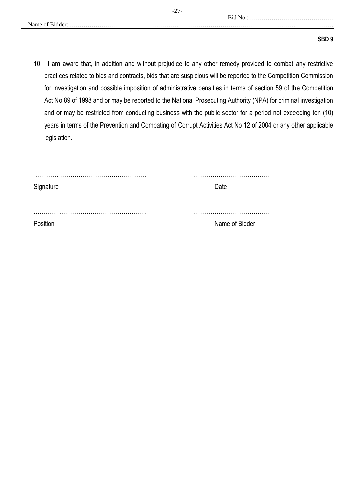| Name<br>1dde1 |  |
|---------------|--|
|               |  |

-27-

#### **SBD 9**

10. I am aware that, in addition and without prejudice to any other remedy provided to combat any restrictive practices related to bids and contracts, bids that are suspicious will be reported to the Competition Commission for investigation and possible imposition of administrative penalties in terms of section 59 of the Competition Act No 89 of 1998 and or may be reported to the National Prosecuting Authority (NPA) for criminal investigation and or may be restricted from conducting business with the public sector for a period not exceeding ten (10) years in terms of the Prevention and Combating of Corrupt Activities Act No 12 of 2004 or any other applicable legislation.

| Signature | Date           |
|-----------|----------------|
|           |                |
| Position  | Name of Bidder |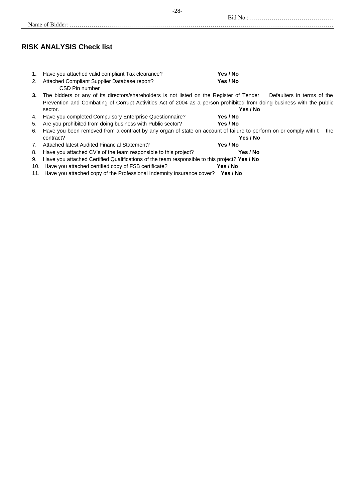#### Bid No.: …………………………………… Name of Bidder: …………………………………………………………………………………………………………………….

## **RISK ANALYSIS Check list**

| 1. | Have you attached valid compliant Tax clearance?                                                                      | Yes / No |                            |
|----|-----------------------------------------------------------------------------------------------------------------------|----------|----------------------------|
| 2. | Attached Compliant Supplier Database report?                                                                          | Yes / No |                            |
|    | CSD Pin number                                                                                                        |          |                            |
| 3. | The bidders or any of its directors/shareholders is not listed on the Register of Tender                              |          | Defaulters in terms of the |
|    | Prevention and Combating of Corrupt Activities Act of 2004 as a person prohibited from doing business with the public |          |                            |
|    | sector.                                                                                                               | Yes / No |                            |
| 4. | Have you completed Compulsory Enterprise Questionnaire?                                                               | Yes / No |                            |
| 5. | Are you prohibited from doing business with Public sector?                                                            | Yes / No |                            |
| 6. | Have you been removed from a contract by any organ of state on account of failure to perform on or comply with t      |          | the                        |
|    | contract?                                                                                                             | Yes / No |                            |
| 7. | Attached latest Audited Financial Statement?                                                                          | Yes / No |                            |
| 8. | Have you attached CV's of the team responsible to this project?                                                       | Yes / No |                            |
| 9. | Have you attached Certified Qualifications of the team responsible to this project? Yes / No                          |          |                            |
|    | 10. Have you attached certified copy of FSB certificate?                                                              | Yes / No |                            |

11. Have you attached copy of the Professional Indemnity insurance cover? **Yes / No**

-28-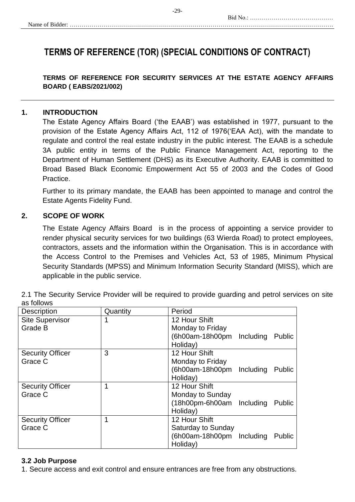## **TERMS OF REFERENCE (TOR) (SPECIAL CONDITIONS OF CONTRACT)**

### **TERMS OF REFERENCE FOR SECURITY SERVICES AT THE ESTATE AGENCY AFFAIRS BOARD ( EABS/2021/002)**

### **1. INTRODUCTION**

The Estate Agency Affairs Board ('the EAAB') was established in 1977, pursuant to the provision of the Estate Agency Affairs Act, 112 of 1976('EAA Act), with the mandate to regulate and control the real estate industry in the public interest. The EAAB is a schedule 3A public entity in terms of the Public Finance Management Act, reporting to the Department of Human Settlement (DHS) as its Executive Authority. EAAB is committed to Broad Based Black Economic Empowerment Act 55 of 2003 and the Codes of Good Practice.

Further to its primary mandate, the EAAB has been appointed to manage and control the Estate Agents Fidelity Fund.

### **2. SCOPE OF WORK**

The Estate Agency Affairs Board is in the process of appointing a service provider to render physical security services for two buildings (63 Wierda Road) to protect employees, contractors, assets and the information within the Organisation. This is in accordance with the Access Control to the Premises and Vehicles Act, 53 of 1985, Minimum Physical Security Standards (MPSS) and Minimum Information Security Standard (MISS), which are applicable in the public service.

| Description             | Quantity | Period                           |  |
|-------------------------|----------|----------------------------------|--|
| <b>Site Supervisor</b>  |          | 12 Hour Shift                    |  |
| Grade B                 |          | Monday to Friday                 |  |
|                         |          | (6h00am-18h00pm Including Public |  |
|                         |          | Holiday)                         |  |
| <b>Security Officer</b> | 3        | 12 Hour Shift                    |  |
| Grace C                 |          | Monday to Friday                 |  |
|                         |          | (6h00am-18h00pm Including Public |  |
|                         |          | Holiday)                         |  |
| <b>Security Officer</b> | 1        | 12 Hour Shift                    |  |
| Grace C                 |          | Monday to Sunday                 |  |
|                         |          | (18h00pm-6h00am Including Public |  |
|                         |          | Holiday)                         |  |
| <b>Security Officer</b> | 1        | 12 Hour Shift                    |  |
| Grace C                 |          | Saturday to Sunday               |  |
|                         |          | (6h00am-18h00pm Including Public |  |
|                         |          | Holiday)                         |  |

2.1 The Security Service Provider will be required to provide guarding and petrol services on site as follows

#### **3.2 Job Purpose**

1. Secure access and exit control and ensure entrances are free from any obstructions.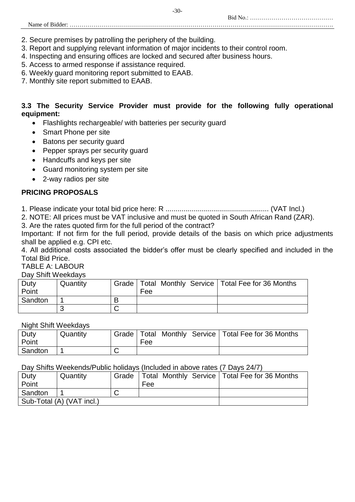2. Secure premises by patrolling the periphery of the building.

- 3. Report and supplying relevant information of major incidents to their control room.
- 4. Inspecting and ensuring offices are locked and secured after business hours.
- 5. Access to armed response if assistance required.
- 6. Weekly guard monitoring report submitted to EAAB.
- 7. Monthly site report submitted to EAAB.

### **3.3 The Security Service Provider must provide for the following fully operational equipment:**

- Flashlights rechargeable/ with batteries per security guard
- Smart Phone per site
- Batons per security quard
- Pepper sprays per security guard
- Handcuffs and keys per site
- Guard monitoring system per site
- 2-way radios per site

### **PRICING PROPOSALS**

1. Please indicate your total bid price here: R .................................................... (VAT Incl.)

2. NOTE: All prices must be VAT inclusive and must be quoted in South African Rand (ZAR).

3. Are the rates quoted firm for the full period of the contract?

Important: If not firm for the full period, provide details of the basis on which price adjustments shall be applied e.g. CPI etc.

4. All additional costs associated the bidder's offer must be clearly specified and included in the Total Bid Price.

TABLE A: LABOUR

Day Shift Weekdays

| Duty<br>Point | Quantity | Grade   Total Monthly Service   Total Fee for 36 Months<br>Fee |
|---------------|----------|----------------------------------------------------------------|
| Sandton       |          |                                                                |
|               |          |                                                                |

Night Shift Weekdays

| Duty<br>Point | Quantity | Fee |  | Grade   Total Monthly Service   Total Fee for 36 Months |
|---------------|----------|-----|--|---------------------------------------------------------|
| Sandton       |          |     |  |                                                         |

Day Shifts Weekends/Public holidays (Included in above rates (7 Days 24/7)

| Duty                      | Quantity | Grade |     |  |  | Total Monthly Service   Total Fee for 36 Months |
|---------------------------|----------|-------|-----|--|--|-------------------------------------------------|
| Point                     |          |       | Fee |  |  |                                                 |
| Sandton                   |          |       |     |  |  |                                                 |
| Sub-Total (A) (VAT incl.) |          |       |     |  |  |                                                 |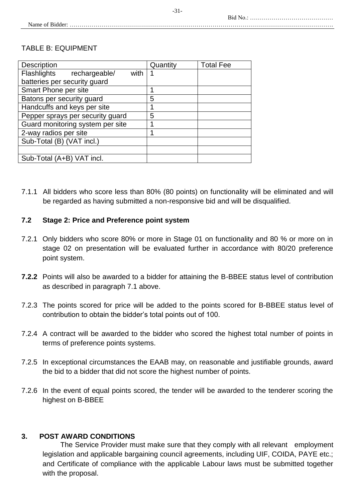### TABLE B: EQUIPMENT

| <b>Description</b>                | Quantity | <b>Total Fee</b> |
|-----------------------------------|----------|------------------|
| Flashlights rechargeable/<br>with |          |                  |
| batteries per security guard      |          |                  |
| Smart Phone per site              | 1        |                  |
| Batons per security guard         | 5        |                  |
| Handcuffs and keys per site       |          |                  |
| Pepper sprays per security guard  | 5        |                  |
| Guard monitoring system per site  | ↿        |                  |
| 2-way radios per site             | 1        |                  |
| Sub-Total (B) (VAT incl.)         |          |                  |
|                                   |          |                  |
| Sub-Total (A+B) VAT incl.         |          |                  |

7.1.1 All bidders who score less than 80% (80 points) on functionality will be eliminated and will be regarded as having submitted a non-responsive bid and will be disqualified.

### **7.2 Stage 2: Price and Preference point system**

- 7.2.1 Only bidders who score 80% or more in Stage 01 on functionality and 80 % or more on in stage 02 on presentation will be evaluated further in accordance with 80/20 preference point system.
- **7.2.2** Points will also be awarded to a bidder for attaining the B-BBEE status level of contribution as described in paragraph 7.1 above.
- 7.2.3 The points scored for price will be added to the points scored for B-BBEE status level of contribution to obtain the bidder's total points out of 100.
- 7.2.4 A contract will be awarded to the bidder who scored the highest total number of points in terms of preference points systems.
- 7.2.5 In exceptional circumstances the EAAB may, on reasonable and justifiable grounds, award the bid to a bidder that did not score the highest number of points.
- 7.2.6 In the event of equal points scored, the tender will be awarded to the tenderer scoring the highest on B-BBEE

### **3. POST AWARD CONDITIONS**

 The Service Provider must make sure that they comply with all relevant employment legislation and applicable bargaining council agreements, including UIF, COIDA, PAYE etc.; and Certificate of compliance with the applicable Labour laws must be submitted together with the proposal.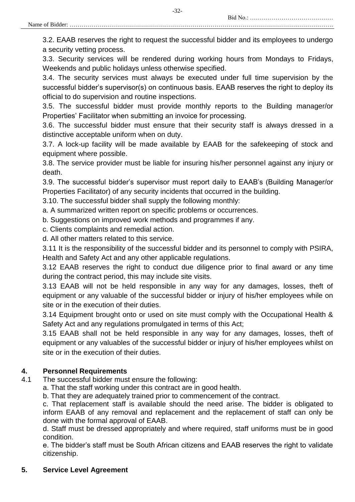3.2. EAAB reserves the right to request the successful bidder and its employees to undergo a security vetting process.

3.3. Security services will be rendered during working hours from Mondays to Fridays, Weekends and public holidays unless otherwise specified.

3.4. The security services must always be executed under full time supervision by the successful bidder's supervisor(s) on continuous basis. EAAB reserves the right to deploy its official to do supervision and routine inspections.

3.5. The successful bidder must provide monthly reports to the Building manager/or Properties' Facilitator when submitting an invoice for processing.

3.6. The successful bidder must ensure that their security staff is always dressed in a distinctive acceptable uniform when on duty.

3.7. A lock-up facility will be made available by EAAB for the safekeeping of stock and equipment where possible.

3.8. The service provider must be liable for insuring his/her personnel against any injury or death.

3.9. The successful bidder's supervisor must report daily to EAAB's (Building Manager/or Properties Facilitator) of any security incidents that occurred in the building.

3.10. The successful bidder shall supply the following monthly:

a. A summarized written report on specific problems or occurrences.

b. Suggestions on improved work methods and programmes if any.

c. Clients complaints and remedial action.

d. All other matters related to this service.

3.11 It is the responsibility of the successful bidder and its personnel to comply with PSIRA, Health and Safety Act and any other applicable regulations.

3.12 EAAB reserves the right to conduct due diligence prior to final award or any time during the contract period, this may include site visits.

3.13 EAAB will not be held responsible in any way for any damages, losses, theft of equipment or any valuable of the successful bidder or injury of his/her employees while on site or in the execution of their duties.

3.14 Equipment brought onto or used on site must comply with the Occupational Health & Safety Act and any regulations promulgated in terms of this Act;

3.15 EAAB shall not be held responsible in any way for any damages, losses, theft of equipment or any valuables of the successful bidder or injury of his/her employees whilst on site or in the execution of their duties.

## **4. Personnel Requirements**

- 4.1 The successful bidder must ensure the following:
	- a. That the staff working under this contract are in good health.

b. That they are adequately trained prior to commencement of the contract.

c. That replacement staff is available should the need arise. The bidder is obligated to inform EAAB of any removal and replacement and the replacement of staff can only be done with the formal approval of EAAB.

d. Staff must be dressed appropriately and where required, staff uniforms must be in good condition.

e. The bidder's staff must be South African citizens and EAAB reserves the right to validate citizenship.

## **5. Service Level Agreement**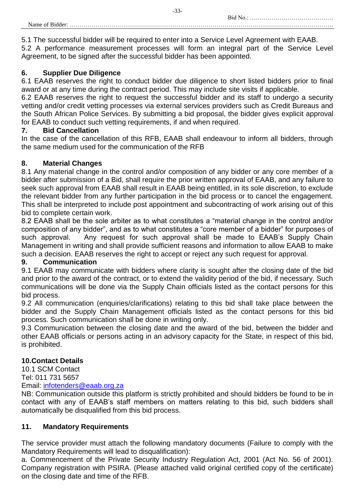5.1 The successful bidder will be required to enter into a Service Level Agreement with EAAB.

Name of Bidder: …………………………………………………………………………………………………………………….

5.2 A performance measurement processes will form an integral part of the Service Level Agreement, to be signed after the successful bidder has been appointed.

## **6. Supplier Due Diligence**

6.1 EAAB reserves the right to conduct bidder due diligence to short listed bidders prior to final award or at any time during the contract period. This may include site visits if applicable.

6.2 EAAB reserves the right to request the successful bidder and its staff to undergo a security vetting and/or credit vetting processes via external services providers such as Credit Bureaus and the South African Police Services. By submitting a bid proposal, the bidder gives explicit approval for EAAB to conduct such vetting requirements, if and when required.

### **7. Bid Cancellation**

In the case of the cancellation of this RFB, EAAB shall endeavour to inform all bidders, through the same medium used for the communication of the RFB

### **8. Material Changes**

8.1 Any material change in the control and/or composition of any bidder or any core member of a bidder after submission of a Bid, shall require the prior written approval of EAAB, and any failure to seek such approval from EAAB shall result in EAAB being entitled, in its sole discretion, to exclude the relevant bidder from any further participation in the bid process or to cancel the engagement. This shall be interpreted to include post appointment and subcontracting of work arising out of this bid to complete certain work.

8.2 EAAB shall be the sole arbiter as to what constitutes a "material change in the control and/or composition of any bidder", and as to what constitutes a "core member of a bidder" for purposes of such approval. Any request for such approval shall be made to EAAB's Supply Chain Management in writing and shall provide sufficient reasons and information to allow EAAB to make such a decision. EAAB reserves the right to accept or reject any such request for approval.

### **9. Communication**

9.1 EAAB may communicate with bidders where clarity is sought after the closing date of the bid and prior to the award of the contract, or to extend the validity period of the bid, if necessary. Such communications will be done via the Supply Chain officials listed as the contact persons for this bid process.

9.2 All communication (enquiries/clarifications) relating to this bid shall take place between the bidder and the Supply Chain Management officials listed as the contact persons for this bid process. Such communication shall be done in writing only.

9.3 Communication between the closing date and the award of the bid, between the bidder and other EAAB officials or persons acting in an advisory capacity for the State, in respect of this bid, is prohibited.

### **10.Contact Details**

10.1 SCM Contact Tel: 011 731 5657 Email: [infotenders@eaab.org.za](mailto:infotenders@eaab.org.za)

NB: Communication outside this platform is strictly prohibited and should bidders be found to be in contact with any of EAAB's staff members on matters relating to this bid, such bidders shall automatically be disqualified from this bid process.

### **11. Mandatory Requirements**

The service provider must attach the following mandatory documents (Failure to comply with the Mandatory Requirements will lead to disqualification):

a. Commencement of the Private Security Industry Regulation Act, 2001 (Act No. 56 of 2001). Company registration with PSIRA. (Please attached valid original certified copy of the certificate) on the closing date and time of the RFB.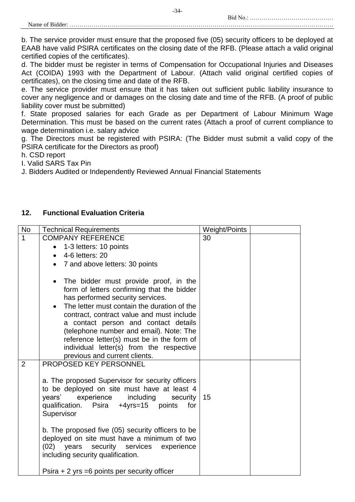b. The service provider must ensure that the proposed five (05) security officers to be deployed at EAAB have valid PSIRA certificates on the closing date of the RFB. (Please attach a valid original certified copies of the certificates).

d. The bidder must be register in terms of Compensation for Occupational Injuries and Diseases Act (COIDA) 1993 with the Department of Labour. (Attach valid original certified copies of certificates), on the closing time and date of the RFB.

e. The service provider must ensure that it has taken out sufficient public liability insurance to cover any negligence and or damages on the closing date and time of the RFB. (A proof of public liability cover must be submitted)

f. State proposed salaries for each Grade as per Department of Labour Minimum Wage Determination. This must be based on the current rates (Attach a proof of current compliance to wage determination i.e. salary advice

g. The Directors must be registered with PSIRA: (The Bidder must submit a valid copy of the PSIRA certificate for the Directors as proof)

h. CSD report

I. Valid SARS Tax Pin

J. Bidders Audited or Independently Reviewed Annual Financial Statements

### **12. Functional Evaluation Criteria**

| No           | <b>Technical Requirements</b>                                                                                                                                                                                                                                                                                                                                                                                                     | Weight/Points |  |
|--------------|-----------------------------------------------------------------------------------------------------------------------------------------------------------------------------------------------------------------------------------------------------------------------------------------------------------------------------------------------------------------------------------------------------------------------------------|---------------|--|
| $\mathbf{1}$ | <b>COMPANY REFERENCE</b>                                                                                                                                                                                                                                                                                                                                                                                                          | 30            |  |
|              | • 1-3 letters: 10 points                                                                                                                                                                                                                                                                                                                                                                                                          |               |  |
|              | 4-6 letters: 20                                                                                                                                                                                                                                                                                                                                                                                                                   |               |  |
|              | 7 and above letters: 30 points                                                                                                                                                                                                                                                                                                                                                                                                    |               |  |
|              | The bidder must provide proof, in the<br>form of letters confirming that the bidder<br>has performed security services.<br>The letter must contain the duration of the<br>contract, contract value and must include<br>a contact person and contact details<br>(telephone number and email). Note: The<br>reference letter(s) must be in the form of<br>individual letter(s) from the respective<br>previous and current clients. |               |  |
| 2            | PROPOSED KEY PERSONNEL                                                                                                                                                                                                                                                                                                                                                                                                            |               |  |
|              | a. The proposed Supervisor for security officers<br>to be deployed on site must have at least 4<br>years'<br>experience<br>including<br>security<br>Psira +4yrs=15 points<br>qualification.<br>for<br>Supervisor                                                                                                                                                                                                                  | 15            |  |
|              | b. The proposed five (05) security officers to be<br>deployed on site must have a minimum of two<br>(02)<br>years<br>security<br>services<br>experience<br>including security qualification.                                                                                                                                                                                                                                      |               |  |
|              | Psira $+ 2$ yrs =6 points per security officer                                                                                                                                                                                                                                                                                                                                                                                    |               |  |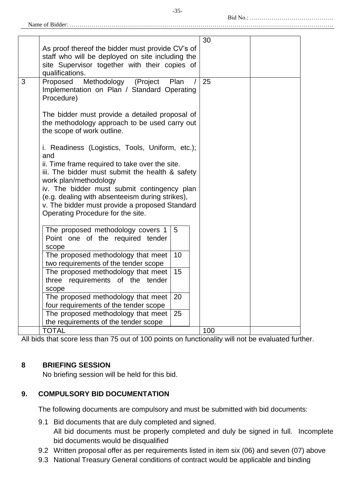|   | As proof thereof the bidder must provide CV's of<br>staff who will be deployed on site including the<br>site Supervisor together with their copies of<br>qualifications.                                       |      | 30  |  |
|---|----------------------------------------------------------------------------------------------------------------------------------------------------------------------------------------------------------------|------|-----|--|
| 3 | Methodology<br>(Project<br>Proposed<br>Implementation on Plan / Standard Operating<br>Procedure)                                                                                                               | Plan | 25  |  |
|   | The bidder must provide a detailed proposal of<br>the methodology approach to be used carry out<br>the scope of work outline.                                                                                  |      |     |  |
|   | i. Readiness (Logistics, Tools, Uniform, etc.);<br>and<br>ii. Time frame required to take over the site.<br>iii. The bidder must submit the health & safety                                                    |      |     |  |
|   | work plan/methodology<br>iv. The bidder must submit contingency plan<br>(e.g. dealing with absenteeism during strikes),<br>v. The bidder must provide a proposed Standard<br>Operating Procedure for the site. |      |     |  |
|   | The proposed methodology covers 1<br>Point one of the required tender<br>scope                                                                                                                                 | 5    |     |  |
|   | The proposed methodology that meet<br>two requirements of the tender scope                                                                                                                                     | 10   |     |  |
|   | The proposed methodology that meet<br>three requirements of the tender                                                                                                                                         | 15   |     |  |
|   | scope<br>The proposed methodology that meet                                                                                                                                                                    | 20   |     |  |
|   | four requirements of the tender scope<br>The proposed methodology that meet<br>the requirements of the tender scope                                                                                            | 25   |     |  |
|   | <b>TOTAL</b>                                                                                                                                                                                                   |      | 100 |  |

All bids that score less than 75 out of 100 points on functionality will not be evaluated further.

#### **8 BRIEFING SESSION**

No briefing session will be held for this bid.

### **9. COMPULSORY BID DOCUMENTATION**

The following documents are compulsory and must be submitted with bid documents:

- 9.1 Bid documents that are duly completed and signed. All bid documents must be properly completed and duly be signed in full. Incomplete bid documents would be disqualified
- 9.2 Written proposal offer as per requirements listed in item six (06) and seven (07) above
- 9.3 National Treasury General conditions of contract would be applicable and binding